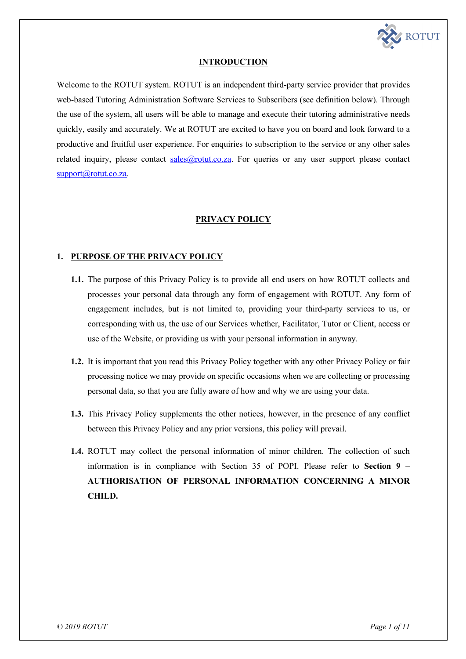

# **INTRODUCTION**

Welcome to the ROTUT system. ROTUT is an independent third-party service provider that provides web-based Tutoring Administration Software Services to Subscribers (see definition below). Through the use of the system, all users will be able to manage and execute their tutoring administrative needs quickly, easily and accurately. We at ROTUT are excited to have you on board and look forward to a productive and fruitful user experience. For enquiries to subscription to the service or any other sales related inquiry, please contact sales@rotut.co.za. For queries or any user support please contact support@rotut.co.za.

# **PRIVACY POLICY**

# **1. PURPOSE OF THE PRIVACY POLICY**

- **1.1.** The purpose of this Privacy Policy is to provide all end users on how ROTUT collects and processes your personal data through any form of engagement with ROTUT. Any form of engagement includes, but is not limited to, providing your third-party services to us, or corresponding with us, the use of our Services whether, Facilitator, Tutor or Client, access or use of the Website, or providing us with your personal information in anyway.
- **1.2.** It is important that you read this Privacy Policy together with any other Privacy Policy or fair processing notice we may provide on specific occasions when we are collecting or processing personal data, so that you are fully aware of how and why we are using your data.
- **1.3.** This Privacy Policy supplements the other notices, however, in the presence of any conflict between this Privacy Policy and any prior versions, this policy will prevail.
- **1.4.** ROTUT may collect the personal information of minor children. The collection of such information is in compliance with Section 35 of POPI. Please refer to **Section 9 – AUTHORISATION OF PERSONAL INFORMATION CONCERNING A MINOR CHILD.**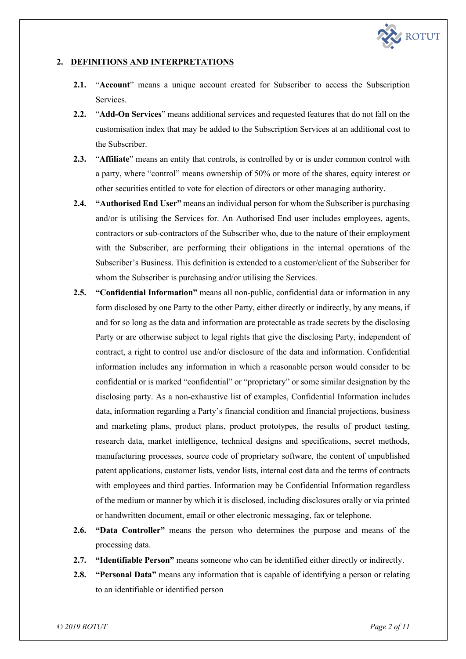

# **2. DEFINITIONS AND INTERPRETATIONS**

- **2.1.** "**Account**" means a unique account created for Subscriber to access the Subscription Services.
- **2.2.** "**Add-On Services**" means additional services and requested features that do not fall on the customisation index that may be added to the Subscription Services at an additional cost to the Subscriber.
- **2.3.** "**Affiliate**" means an entity that controls, is controlled by or is under common control with a party, where "control" means ownership of 50% or more of the shares, equity interest or other securities entitled to vote for election of directors or other managing authority.
- **2.4. "Authorised End User"** means an individual person for whom the Subscriber is purchasing and/or is utilising the Services for. An Authorised End user includes employees, agents, contractors or sub-contractors of the Subscriber who, due to the nature of their employment with the Subscriber, are performing their obligations in the internal operations of the Subscriber's Business. This definition is extended to a customer/client of the Subscriber for whom the Subscriber is purchasing and/or utilising the Services.
- **2.5. "Confidential Information"** means all non-public, confidential data or information in any form disclosed by one Party to the other Party, either directly or indirectly, by any means, if and for so long as the data and information are protectable as trade secrets by the disclosing Party or are otherwise subject to legal rights that give the disclosing Party, independent of contract, a right to control use and/or disclosure of the data and information. Confidential information includes any information in which a reasonable person would consider to be confidential or is marked "confidential" or "proprietary" or some similar designation by the disclosing party. As a non-exhaustive list of examples, Confidential Information includes data, information regarding a Party's financial condition and financial projections, business and marketing plans, product plans, product prototypes, the results of product testing, research data, market intelligence, technical designs and specifications, secret methods, manufacturing processes, source code of proprietary software, the content of unpublished patent applications, customer lists, vendor lists, internal cost data and the terms of contracts with employees and third parties. Information may be Confidential Information regardless of the medium or manner by which it is disclosed, including disclosures orally or via printed or handwritten document, email or other electronic messaging, fax or telephone.
- **2.6. "Data Controller"** means the person who determines the purpose and means of the processing data.
- **2.7. "Identifiable Person"** means someone who can be identified either directly or indirectly.
- **2.8. "Personal Data"** means any information that is capable of identifying a person or relating to an identifiable or identified person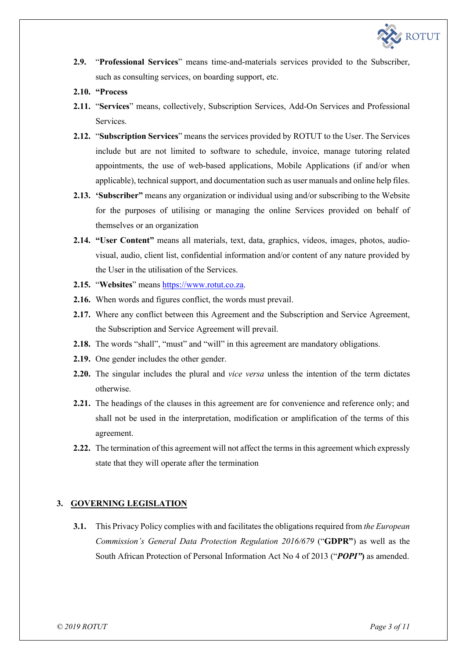

- **2.9.** "**Professional Services**" means time-and-materials services provided to the Subscriber, such as consulting services, on boarding support, etc.
- **2.10. "Process**
- **2.11.** "**Services**" means, collectively, Subscription Services, Add-On Services and Professional Services.
- **2.12.** "**Subscription Services**" means the services provided by ROTUT to the User. The Services include but are not limited to software to schedule, invoice, manage tutoring related appointments, the use of web-based applications, Mobile Applications (if and/or when applicable), technical support, and documentation such as user manuals and online help files.
- **2.13. 'Subscriber"** means any organization or individual using and/or subscribing to the Website for the purposes of utilising or managing the online Services provided on behalf of themselves or an organization
- **2.14. "User Content"** means all materials, text, data, graphics, videos, images, photos, audiovisual, audio, client list, confidential information and/or content of any nature provided by the User in the utilisation of the Services.
- **2.15.** "**Websites**" means https://www.rotut.co.za.
- **2.16.** When words and figures conflict, the words must prevail.
- **2.17.** Where any conflict between this Agreement and the Subscription and Service Agreement, the Subscription and Service Agreement will prevail.
- **2.18.** The words "shall", "must" and "will" in this agreement are mandatory obligations.
- **2.19.** One gender includes the other gender.
- **2.20.** The singular includes the plural and *vice versa* unless the intention of the term dictates otherwise.
- **2.21.** The headings of the clauses in this agreement are for convenience and reference only; and shall not be used in the interpretation, modification or amplification of the terms of this agreement.
- **2.22.** The termination of this agreement will not affect the terms in this agreement which expressly state that they will operate after the termination

### **3. GOVERNING LEGISLATION**

**3.1.** This Privacy Policy complies with and facilitates the obligations required from *the European Commission's General Data Protection Regulation 2016/679* ("**GDPR"**) as well as the South African Protection of Personal Information Act No 4 of 2013 ("*POPI"***)** as amended.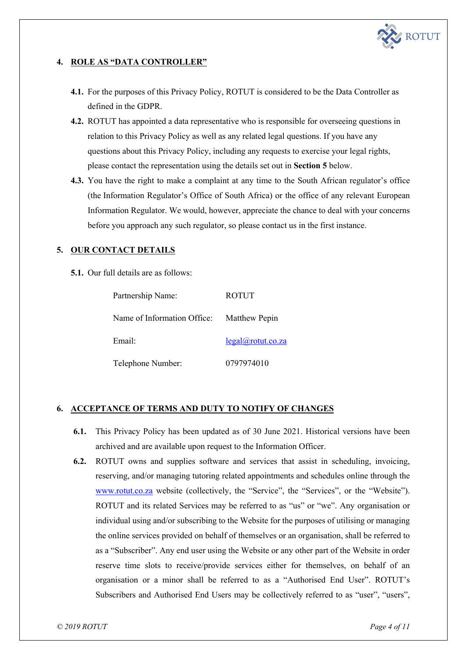

# **4. ROLE AS "DATA CONTROLLER"**

- **4.1.** For the purposes of this Privacy Policy, ROTUT is considered to be the Data Controller as defined in the GDPR.
- **4.2.** ROTUT has appointed a data representative who is responsible for overseeing questions in relation to this Privacy Policy as well as any related legal questions. If you have any questions about this Privacy Policy, including any requests to exercise your legal rights, please contact the representation using the details set out in **Section 5** below.
- **4.3.** You have the right to make a complaint at any time to the South African regulator's office (the Information Regulator's Office of South Africa) or the office of any relevant European Information Regulator. We would, however, appreciate the chance to deal with your concerns before you approach any such regulator, so please contact us in the first instance.

# **5. OUR CONTACT DETAILS**

**5.1.** Our full details are as follows:

| Partnership Name:                         | <b>ROTUT</b>      |
|-------------------------------------------|-------------------|
| Name of Information Office: Matthew Pepin |                   |
| Email:                                    | legal@rotut.co.za |
| Telephone Number:                         | 0797974010        |

# **6. ACCEPTANCE OF TERMS AND DUTY TO NOTIFY OF CHANGES**

- **6.1.** This Privacy Policy has been updated as of 30 June 2021. Historical versions have been archived and are available upon request to the Information Officer.
- **6.2.** ROTUT owns and supplies software and services that assist in scheduling, invoicing, reserving, and/or managing tutoring related appointments and schedules online through the www.rotut.co.za website (collectively, the "Service", the "Services", or the "Website"). ROTUT and its related Services may be referred to as "us" or "we". Any organisation or individual using and/or subscribing to the Website for the purposes of utilising or managing the online services provided on behalf of themselves or an organisation, shall be referred to as a "Subscriber". Any end user using the Website or any other part of the Website in order reserve time slots to receive/provide services either for themselves, on behalf of an organisation or a minor shall be referred to as a "Authorised End User". ROTUT's Subscribers and Authorised End Users may be collectively referred to as "user", "users",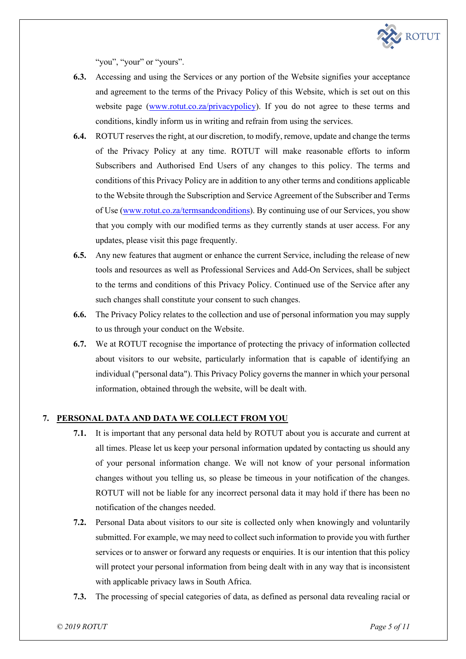

"you", "your" or "yours".

- **6.3.** Accessing and using the Services or any portion of the Website signifies your acceptance and agreement to the terms of the Privacy Policy of this Website, which is set out on this website page (www.rotut.co.za/privacypolicy). If you do not agree to these terms and conditions, kindly inform us in writing and refrain from using the services.
- **6.4.** ROTUT reserves the right, at our discretion, to modify, remove, update and change the terms of the Privacy Policy at any time. ROTUT will make reasonable efforts to inform Subscribers and Authorised End Users of any changes to this policy. The terms and conditions of this Privacy Policy are in addition to any other terms and conditions applicable to the Website through the Subscription and Service Agreement of the Subscriber and Terms of Use (www.rotut.co.za/termsandconditions). By continuing use of our Services, you show that you comply with our modified terms as they currently stands at user access. For any updates, please visit this page frequently.
- **6.5.** Any new features that augment or enhance the current Service, including the release of new tools and resources as well as Professional Services and Add-On Services, shall be subject to the terms and conditions of this Privacy Policy. Continued use of the Service after any such changes shall constitute your consent to such changes.
- **6.6.** The Privacy Policy relates to the collection and use of personal information you may supply to us through your conduct on the Website.
- **6.7.** We at ROTUT recognise the importance of protecting the privacy of information collected about visitors to our website, particularly information that is capable of identifying an individual ("personal data"). This Privacy Policy governs the manner in which your personal information, obtained through the website, will be dealt with.

# **7. PERSONAL DATA AND DATA WE COLLECT FROM YOU**

- **7.1.** It is important that any personal data held by ROTUT about you is accurate and current at all times. Please let us keep your personal information updated by contacting us should any of your personal information change. We will not know of your personal information changes without you telling us, so please be timeous in your notification of the changes. ROTUT will not be liable for any incorrect personal data it may hold if there has been no notification of the changes needed.
- **7.2.** Personal Data about visitors to our site is collected only when knowingly and voluntarily submitted. For example, we may need to collect such information to provide you with further services or to answer or forward any requests or enquiries. It is our intention that this policy will protect your personal information from being dealt with in any way that is inconsistent with applicable privacy laws in South Africa.
- **7.3.** The processing of special categories of data, as defined as personal data revealing racial or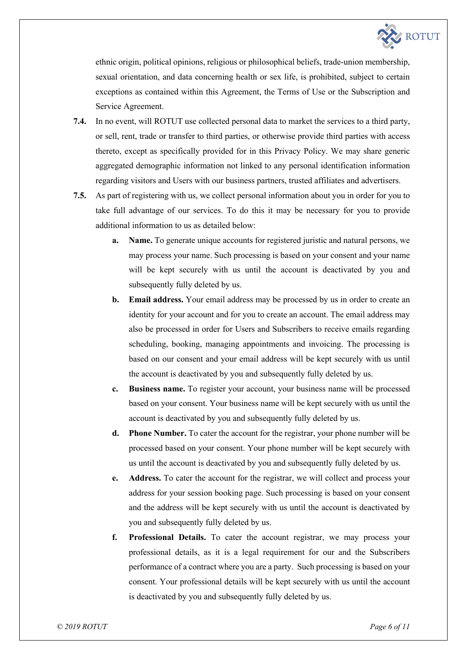

ethnic origin, political opinions, religious or philosophical beliefs, trade-union membership, sexual orientation, and data concerning health or sex life, is prohibited, subject to certain exceptions as contained within this Agreement, the Terms of Use or the Subscription and Service Agreement.

- **7.4.** In no event, will ROTUT use collected personal data to market the services to a third party, or sell, rent, trade or transfer to third parties, or otherwise provide third parties with access thereto, except as specifically provided for in this Privacy Policy. We may share generic aggregated demographic information not linked to any personal identification information regarding visitors and Users with our business partners, trusted affiliates and advertisers.
- **7.5.** As part of registering with us, we collect personal information about you in order for you to take full advantage of our services. To do this it may be necessary for you to provide additional information to us as detailed below:
	- **a. Name.** To generate unique accounts for registered juristic and natural persons, we may process your name. Such processing is based on your consent and your name will be kept securely with us until the account is deactivated by you and subsequently fully deleted by us.
	- **b. Email address.** Your email address may be processed by us in order to create an identity for your account and for you to create an account. The email address may also be processed in order for Users and Subscribers to receive emails regarding scheduling, booking, managing appointments and invoicing. The processing is based on our consent and your email address will be kept securely with us until the account is deactivated by you and subsequently fully deleted by us.
	- **c. Business name.** To register your account, your business name will be processed based on your consent. Your business name will be kept securely with us until the account is deactivated by you and subsequently fully deleted by us.
	- **d. Phone Number.** To cater the account for the registrar, your phone number will be processed based on your consent. Your phone number will be kept securely with us until the account is deactivated by you and subsequently fully deleted by us.
	- **e. Address.** To cater the account for the registrar, we will collect and process your address for your session booking page. Such processing is based on your consent and the address will be kept securely with us until the account is deactivated by you and subsequently fully deleted by us.
	- **f. Professional Details.** To cater the account registrar, we may process your professional details, as it is a legal requirement for our and the Subscribers performance of a contract where you are a party. Such processing is based on your consent. Your professional details will be kept securely with us until the account is deactivated by you and subsequently fully deleted by us.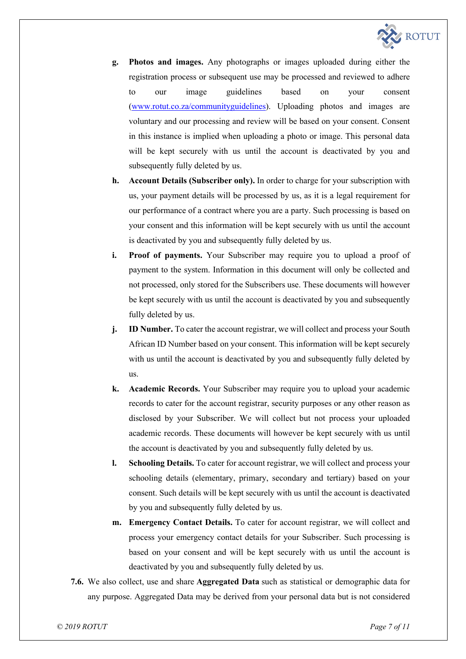

- **g. Photos and images.** Any photographs or images uploaded during either the registration process or subsequent use may be processed and reviewed to adhere to our image guidelines based on your consent (www.rotut.co.za/communityguidelines). Uploading photos and images are voluntary and our processing and review will be based on your consent. Consent in this instance is implied when uploading a photo or image. This personal data will be kept securely with us until the account is deactivated by you and subsequently fully deleted by us.
- **h. Account Details (Subscriber only).** In order to charge for your subscription with us, your payment details will be processed by us, as it is a legal requirement for our performance of a contract where you are a party. Such processing is based on your consent and this information will be kept securely with us until the account is deactivated by you and subsequently fully deleted by us.
- **i. Proof of payments.** Your Subscriber may require you to upload a proof of payment to the system. Information in this document will only be collected and not processed, only stored for the Subscribers use. These documents will however be kept securely with us until the account is deactivated by you and subsequently fully deleted by us.
- **j. ID Number.** To cater the account registrar, we will collect and process your South African ID Number based on your consent. This information will be kept securely with us until the account is deactivated by you and subsequently fully deleted by us.
- **k. Academic Records.** Your Subscriber may require you to upload your academic records to cater for the account registrar, security purposes or any other reason as disclosed by your Subscriber. We will collect but not process your uploaded academic records. These documents will however be kept securely with us until the account is deactivated by you and subsequently fully deleted by us.
- **l. Schooling Details.** To cater for account registrar, we will collect and process your schooling details (elementary, primary, secondary and tertiary) based on your consent. Such details will be kept securely with us until the account is deactivated by you and subsequently fully deleted by us.
- **m. Emergency Contact Details.** To cater for account registrar, we will collect and process your emergency contact details for your Subscriber. Such processing is based on your consent and will be kept securely with us until the account is deactivated by you and subsequently fully deleted by us.
- **7.6.** We also collect, use and share **Aggregated Data** such as statistical or demographic data for any purpose. Aggregated Data may be derived from your personal data but is not considered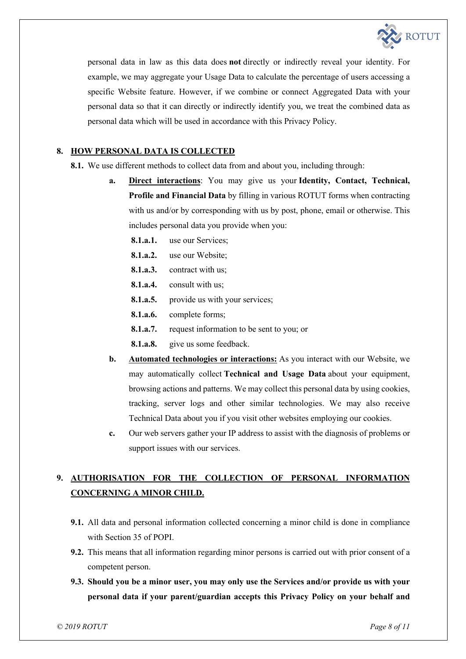

personal data in law as this data does **not** directly or indirectly reveal your identity. For example, we may aggregate your Usage Data to calculate the percentage of users accessing a specific Website feature. However, if we combine or connect Aggregated Data with your personal data so that it can directly or indirectly identify you, we treat the combined data as personal data which will be used in accordance with this Privacy Policy.

### **8. HOW PERSONAL DATA IS COLLECTED**

**8.1.** We use different methods to collect data from and about you, including through:

- **a. Direct interactions**: You may give us your **Identity, Contact, Technical, Profile and Financial Data** by filling in various ROTUT forms when contracting with us and/or by corresponding with us by post, phone, email or otherwise. This includes personal data you provide when you:
	- **8.1.a.1.** use our Services;
	- **8.1.a.2.** use our Website;
	- **8.1.a.3.** contract with us;
	- **8.1.a.4.** consult with us;
	- **8.1.a.5.** provide us with your services;
	- **8.1.a.6.** complete forms;
	- **8.1.a.7.** request information to be sent to you; or
	- **8.1.a.8.** give us some feedback.
- **b. Automated technologies or interactions:** As you interact with our Website, we may automatically collect **Technical and Usage Data** about your equipment, browsing actions and patterns. We may collect this personal data by using cookies, tracking, server logs and other similar technologies. We may also receive Technical Data about you if you visit other websites employing our cookies.
- **c.** Our web servers gather your IP address to assist with the diagnosis of problems or support issues with our services.

# **9. AUTHORISATION FOR THE COLLECTION OF PERSONAL INFORMATION CONCERNING A MINOR CHILD.**

- **9.1.** All data and personal information collected concerning a minor child is done in compliance with Section 35 of POPI.
- **9.2.** This means that all information regarding minor persons is carried out with prior consent of a competent person.
- **9.3. Should you be a minor user, you may only use the Services and/or provide us with your personal data if your parent/guardian accepts this Privacy Policy on your behalf and**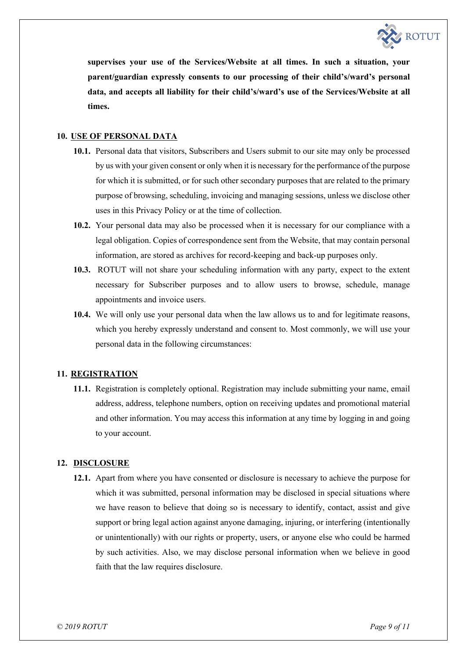

**supervises your use of the Services/Website at all times. In such a situation, your parent/guardian expressly consents to our processing of their child's/ward's personal data, and accepts all liability for their child's/ward's use of the Services/Website at all times.**

### **10. USE OF PERSONAL DATA**

- **10.1.** Personal data that visitors, Subscribers and Users submit to our site may only be processed by us with your given consent or only when it is necessary for the performance of the purpose for which it is submitted, or for such other secondary purposes that are related to the primary purpose of browsing, scheduling, invoicing and managing sessions, unless we disclose other uses in this Privacy Policy or at the time of collection.
- **10.2.** Your personal data may also be processed when it is necessary for our compliance with a legal obligation. Copies of correspondence sent from the Website, that may contain personal information, are stored as archives for record-keeping and back-up purposes only.
- **10.3.** ROTUT will not share your scheduling information with any party, expect to the extent necessary for Subscriber purposes and to allow users to browse, schedule, manage appointments and invoice users.
- **10.4.** We will only use your personal data when the law allows us to and for legitimate reasons, which you hereby expressly understand and consent to. Most commonly, we will use your personal data in the following circumstances:

### **11. REGISTRATION**

**11.1.** Registration is completely optional. Registration may include submitting your name, email address, address, telephone numbers, option on receiving updates and promotional material and other information. You may access this information at any time by logging in and going to your account.

#### **12. DISCLOSURE**

**12.1.** Apart from where you have consented or disclosure is necessary to achieve the purpose for which it was submitted, personal information may be disclosed in special situations where we have reason to believe that doing so is necessary to identify, contact, assist and give support or bring legal action against anyone damaging, injuring, or interfering (intentionally or unintentionally) with our rights or property, users, or anyone else who could be harmed by such activities. Also, we may disclose personal information when we believe in good faith that the law requires disclosure.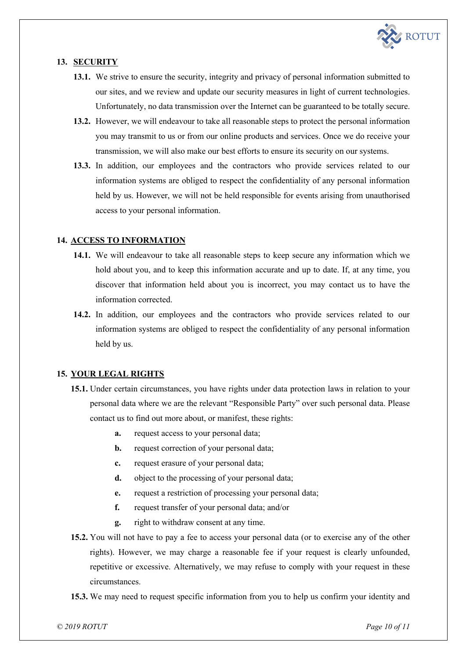

# **13. SECURITY**

- **13.1.** We strive to ensure the security, integrity and privacy of personal information submitted to our sites, and we review and update our security measures in light of current technologies. Unfortunately, no data transmission over the Internet can be guaranteed to be totally secure.
- **13.2.** However, we will endeavour to take all reasonable steps to protect the personal information you may transmit to us or from our online products and services. Once we do receive your transmission, we will also make our best efforts to ensure its security on our systems.
- **13.3.** In addition, our employees and the contractors who provide services related to our information systems are obliged to respect the confidentiality of any personal information held by us. However, we will not be held responsible for events arising from unauthorised access to your personal information.

### **14. ACCESS TO INFORMATION**

- **14.1.** We will endeavour to take all reasonable steps to keep secure any information which we hold about you, and to keep this information accurate and up to date. If, at any time, you discover that information held about you is incorrect, you may contact us to have the information corrected.
- **14.2.** In addition, our employees and the contractors who provide services related to our information systems are obliged to respect the confidentiality of any personal information held by us.

### **15. YOUR LEGAL RIGHTS**

- **15.1.** Under certain circumstances, you have rights under data protection laws in relation to your personal data where we are the relevant "Responsible Party" over such personal data. Please contact us to find out more about, or manifest, these rights:
	- **a.** request access to your personal data;
	- **b.** request correction of your personal data;
	- **c.** request erasure of your personal data;
	- **d.** object to the processing of your personal data;
	- **e.** request a restriction of processing your personal data;
	- **f.** request transfer of your personal data; and/or
	- **g.** right to withdraw consent at any time.
- **15.2.** You will not have to pay a fee to access your personal data (or to exercise any of the other rights). However, we may charge a reasonable fee if your request is clearly unfounded, repetitive or excessive. Alternatively, we may refuse to comply with your request in these circumstances.
- **15.3.** We may need to request specific information from you to help us confirm your identity and